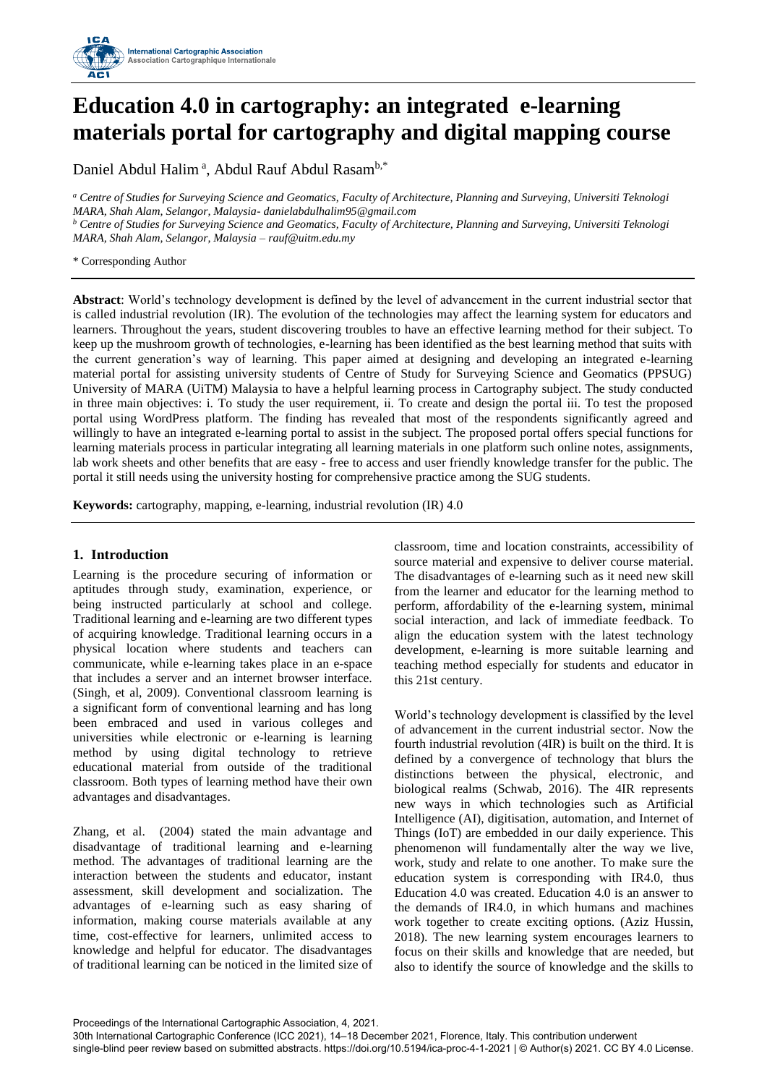

# **Education 4.0 in cartography: an integrated e-learning materials portal for cartography and digital mapping course**

Daniel Abdul Halim<sup>a</sup>, Abdul Rauf Abdul Rasam<sup>b,\*</sup>

*<sup>a</sup> Centre of Studies for Surveying Science and Geomatics, Faculty of Architecture, Planning and Surveying, Universiti Teknologi MARA, Shah Alam, Selangor, Malaysia- danielabdulhalim95@gmail.com <sup>b</sup> Centre of Studies for Surveying Science and Geomatics, Faculty of Architecture, Planning and Surveying, Universiti Teknologi MARA, Shah Alam, Selangor, Malaysia – rauf@uitm.edu.my*

\* Corresponding Author

**Abstract**: World's technology development is defined by the level of advancement in the current industrial sector that is called industrial revolution (IR). The evolution of the technologies may affect the learning system for educators and learners. Throughout the years, student discovering troubles to have an effective learning method for their subject. To keep up the mushroom growth of technologies, e-learning has been identified as the best learning method that suits with the current generation's way of learning. This paper aimed at designing and developing an integrated e-learning material portal for assisting university students of Centre of Study for Surveying Science and Geomatics (PPSUG) University of MARA (UiTM) Malaysia to have a helpful learning process in Cartography subject. The study conducted in three main objectives: i. To study the user requirement, ii. To create and design the portal iii. To test the proposed portal using WordPress platform. The finding has revealed that most of the respondents significantly agreed and willingly to have an integrated e-learning portal to assist in the subject. The proposed portal offers special functions for learning materials process in particular integrating all learning materials in one platform such online notes, assignments, lab work sheets and other benefits that are easy - free to access and user friendly knowledge transfer for the public. The portal it still needs using the university hosting for comprehensive practice among the SUG students.

**Keywords:** cartography, mapping, e-learning, industrial revolution (IR) 4.0

# **1. Introduction**

Learning is the procedure securing of information or aptitudes through study, examination, experience, or being instructed particularly at school and college. Traditional learning and e-learning are two different types of acquiring knowledge. Traditional learning occurs in a physical location where students and teachers can communicate, while e-learning takes place in an e-space that includes a server and an internet browser interface. (Singh, et al, 2009). Conventional classroom learning is a significant form of conventional learning and has long been embraced and used in various colleges and universities while electronic or e-learning is learning method by using digital technology to retrieve educational material from outside of the traditional classroom. Both types of learning method have their own advantages and disadvantages.

Zhang, et al. (2004) stated the main advantage and disadvantage of traditional learning and e-learning method. The advantages of traditional learning are the interaction between the students and educator, instant assessment, skill development and socialization. The advantages of e-learning such as easy sharing of information, making course materials available at any time, cost-effective for learners, unlimited access to knowledge and helpful for educator. The disadvantages of traditional learning can be noticed in the limited size of classroom, time and location constraints, accessibility of source material and expensive to deliver course material. The disadvantages of e-learning such as it need new skill from the learner and educator for the learning method to perform, affordability of the e-learning system, minimal social interaction, and lack of immediate feedback. To align the education system with the latest technology development, e-learning is more suitable learning and teaching method especially for students and educator in this 21st century.

World's technology development is classified by the level of advancement in the current industrial sector. Now the fourth industrial revolution (4IR) is built on the third. It is defined by a convergence of technology that blurs the distinctions between the physical, electronic, and biological realms (Schwab, 2016). The 4IR represents new ways in which technologies such as Artificial Intelligence (AI), digitisation, automation, and Internet of Things (IoT) are embedded in our daily experience. This phenomenon will fundamentally alter the way we live, work, study and relate to one another. To make sure the education system is corresponding with IR4.0, thus Education 4.0 was created. Education 4.0 is an answer to the demands of IR4.0, in which humans and machines work together to create exciting options. (Aziz Hussin, 2018). The new learning system encourages learners to focus on their skills and knowledge that are needed, but also to identify the source of knowledge and the skills to

Proceedings of the International Cartographic Association, 4, 2021.

30th International Cartographic Conference (ICC 2021), 14–18 December 2021, Florence, Italy. This contribution underwent single-blind peer review based on submitted abstracts. https://doi.org/10.5194/ica-proc-4-1-2021 | © Author(s) 2021. CC BY 4.0 License.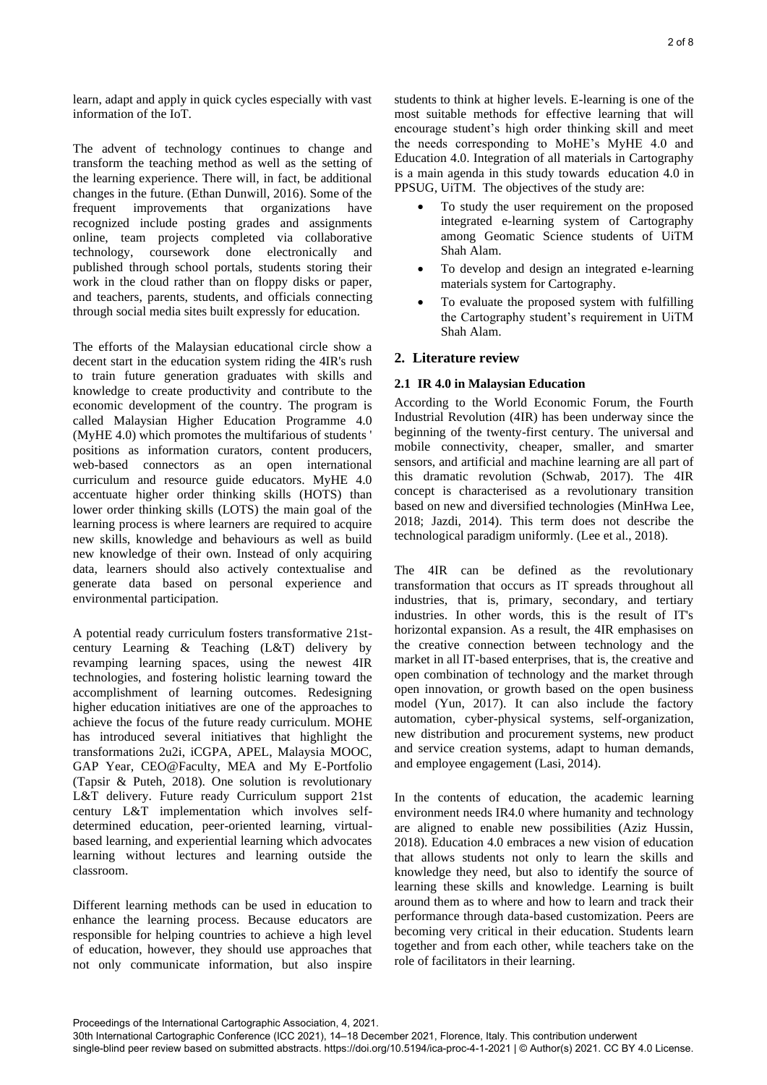learn, adapt and apply in quick cycles especially with vast information of the IoT.

The advent of technology continues to change and transform the teaching method as well as the setting of the learning experience. There will, in fact, be additional changes in the future. (Ethan Dunwill, 2016). Some of the frequent improvements that organizations have recognized include posting grades and assignments online, team projects completed via collaborative technology, coursework done electronically and published through school portals, students storing their work in the cloud rather than on floppy disks or paper, and teachers, parents, students, and officials connecting through social media sites built expressly for education.

The efforts of the Malaysian educational circle show a decent start in the education system riding the 4IR's rush to train future generation graduates with skills and knowledge to create productivity and contribute to the economic development of the country. The program is called Malaysian Higher Education Programme 4.0 (MyHE 4.0) which promotes the multifarious of students ' positions as information curators, content producers, web-based connectors as an open international curriculum and resource guide educators. MyHE 4.0 accentuate higher order thinking skills (HOTS) than lower order thinking skills (LOTS) the main goal of the learning process is where learners are required to acquire new skills, knowledge and behaviours as well as build new knowledge of their own. Instead of only acquiring data, learners should also actively contextualise and generate data based on personal experience and environmental participation.

A potential ready curriculum fosters transformative 21stcentury Learning & Teaching (L&T) delivery by revamping learning spaces, using the newest 4IR technologies, and fostering holistic learning toward the accomplishment of learning outcomes. Redesigning higher education initiatives are one of the approaches to achieve the focus of the future ready curriculum. MOHE has introduced several initiatives that highlight the transformations 2u2i, iCGPA, APEL, Malaysia MOOC, GAP Year, CEO@Faculty, MEA and My E-Portfolio (Tapsir & Puteh, 2018). One solution is revolutionary L&T delivery. Future ready Curriculum support 21st century L&T implementation which involves selfdetermined education, peer-oriented learning, virtualbased learning, and experiential learning which advocates learning without lectures and learning outside the classroom.

Different learning methods can be used in education to enhance the learning process. Because educators are responsible for helping countries to achieve a high level of education, however, they should use approaches that not only communicate information, but also inspire

students to think at higher levels. E-learning is one of the most suitable methods for effective learning that will encourage student's high order thinking skill and meet the needs corresponding to MoHE's MyHE 4.0 and Education 4.0. Integration of all materials in Cartography is a main agenda in this study towards education 4.0 in PPSUG, UiTM. The objectives of the study are:

- To study the user requirement on the proposed integrated e-learning system of Cartography among Geomatic Science students of UiTM Shah Alam.
- To develop and design an integrated e-learning materials system for Cartography.
- To evaluate the proposed system with fulfilling the Cartography student's requirement in UiTM Shah Alam.

# **2. Literature review**

# **2.1 IR 4.0 in Malaysian Education**

According to the World Economic Forum, the Fourth Industrial Revolution (4IR) has been underway since the beginning of the twenty-first century. The universal and mobile connectivity, cheaper, smaller, and smarter sensors, and artificial and machine learning are all part of this dramatic revolution (Schwab, 2017). The 4IR concept is characterised as a revolutionary transition based on new and diversified technologies (MinHwa Lee, 2018; Jazdi, 2014). This term does not describe the technological paradigm uniformly. (Lee et al., 2018).

The 4IR can be defined as the revolutionary transformation that occurs as IT spreads throughout all industries, that is, primary, secondary, and tertiary industries. In other words, this is the result of IT's horizontal expansion. As a result, the 4IR emphasises on the creative connection between technology and the market in all IT-based enterprises, that is, the creative and open combination of technology and the market through open innovation, or growth based on the open business model (Yun, 2017). It can also include the factory automation, cyber-physical systems, self-organization, new distribution and procurement systems, new product and service creation systems, adapt to human demands, and employee engagement (Lasi, 2014).

In the contents of education, the academic learning environment needs IR4.0 where humanity and technology are aligned to enable new possibilities (Aziz Hussin, 2018). Education 4.0 embraces a new vision of education that allows students not only to learn the skills and knowledge they need, but also to identify the source of learning these skills and knowledge. Learning is built around them as to where and how to learn and track their performance through data-based customization. Peers are becoming very critical in their education. Students learn together and from each other, while teachers take on the role of facilitators in their learning.

Proceedings of the International Cartographic Association, 4, 2021.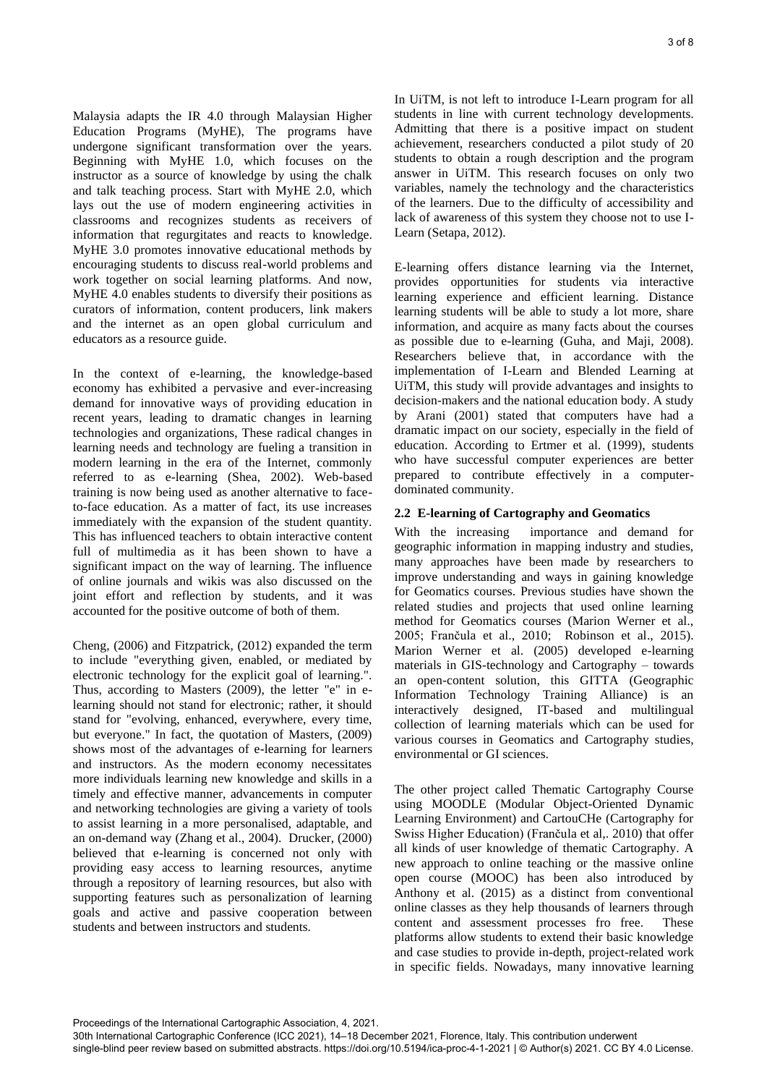Malaysia adapts the IR 4.0 through Malaysian Higher Education Programs (MyHE), The programs have undergone significant transformation over the years. Beginning with MyHE 1.0, which focuses on the instructor as a source of knowledge by using the chalk and talk teaching process. Start with MyHE 2.0, which lays out the use of modern engineering activities in classrooms and recognizes students as receivers of information that regurgitates and reacts to knowledge. MyHE 3.0 promotes innovative educational methods by encouraging students to discuss real-world problems and work together on social learning platforms. And now, MyHE 4.0 enables students to diversify their positions as curators of information, content producers, link makers and the internet as an open global curriculum and educators as a resource guide.

In the context of e-learning, the knowledge-based economy has exhibited a pervasive and ever-increasing demand for innovative ways of providing education in recent years, leading to dramatic changes in learning technologies and organizations, These radical changes in learning needs and technology are fueling a transition in modern learning in the era of the Internet, commonly referred to as e-learning (Shea, 2002). Web-based training is now being used as another alternative to faceto-face education. As a matter of fact, its use increases immediately with the expansion of the student quantity. This has influenced teachers to obtain interactive content full of multimedia as it has been shown to have a significant impact on the way of learning. The influence of online journals and wikis was also discussed on the joint effort and reflection by students, and it was accounted for the positive outcome of both of them.

Cheng, (2006) and Fitzpatrick, (2012) expanded the term to include "everything given, enabled, or mediated by electronic technology for the explicit goal of learning.". Thus, according to Masters (2009), the letter "e" in elearning should not stand for electronic; rather, it should stand for "evolving, enhanced, everywhere, every time, but everyone." In fact, the quotation of Masters, (2009) shows most of the advantages of e-learning for learners and instructors. As the modern economy necessitates more individuals learning new knowledge and skills in a timely and effective manner, advancements in computer and networking technologies are giving a variety of tools to assist learning in a more personalised, adaptable, and an on-demand way (Zhang et al., 2004). Drucker, (2000) believed that e-learning is concerned not only with providing easy access to learning resources, anytime through a repository of learning resources, but also with supporting features such as personalization of learning goals and active and passive cooperation between students and between instructors and students.

In UiTM, is not left to introduce I-Learn program for all students in line with current technology developments. Admitting that there is a positive impact on student achievement, researchers conducted a pilot study of 20 students to obtain a rough description and the program answer in UiTM. This research focuses on only two variables, namely the technology and the characteristics of the learners. Due to the difficulty of accessibility and lack of awareness of this system they choose not to use I-Learn (Setapa, 2012).

E-learning offers distance learning via the Internet, provides opportunities for students via interactive learning experience and efficient learning. Distance learning students will be able to study a lot more, share information, and acquire as many facts about the courses as possible due to e-learning (Guha, and Maji, 2008). Researchers believe that, in accordance with the implementation of I-Learn and Blended Learning at UiTM, this study will provide advantages and insights to decision-makers and the national education body. A study by Arani (2001) stated that computers have had a dramatic impact on our society, especially in the field of education. According to Ertmer et al. (1999), students who have successful computer experiences are better prepared to contribute effectively in a computerdominated community.

# **2.2 E-learning of Cartography and Geomatics**

With the increasing importance and demand for geographic information in mapping industry and studies, many approaches have been made by researchers to improve understanding and ways in gaining knowledge for Geomatics courses. Previous studies have shown the related studies and projects that used online learning method for Geomatics courses (Marion Werner et al., 2005; Frančula et al., 2010; Robinson et al., 2015). Marion Werner et al. (2005) developed e-learning materials in GIS-technology and Cartography – towards an open-content solution, this GITTA (Geographic Information Technology Training Alliance) is an interactively designed, IT-based and multilingual collection of learning materials which can be used for various courses in Geomatics and Cartography studies, environmental or GI sciences.

The other project called Thematic Cartography Course using MOODLE (Modular Object-Oriented Dynamic Learning Environment) and CartouCHe (Cartography for Swiss Higher Education) (Frančula et al,. 2010) that offer all kinds of user knowledge of thematic Cartography. A new approach to online teaching or the massive online open course (MOOC) has been also introduced by Anthony et al. (2015) as a distinct from conventional online classes as they help thousands of learners through content and assessment processes fro free. These platforms allow students to extend their basic knowledge and case studies to provide in-depth, project-related work in specific fields. Nowadays, many innovative learning

Proceedings of the International Cartographic Association, 4, 2021.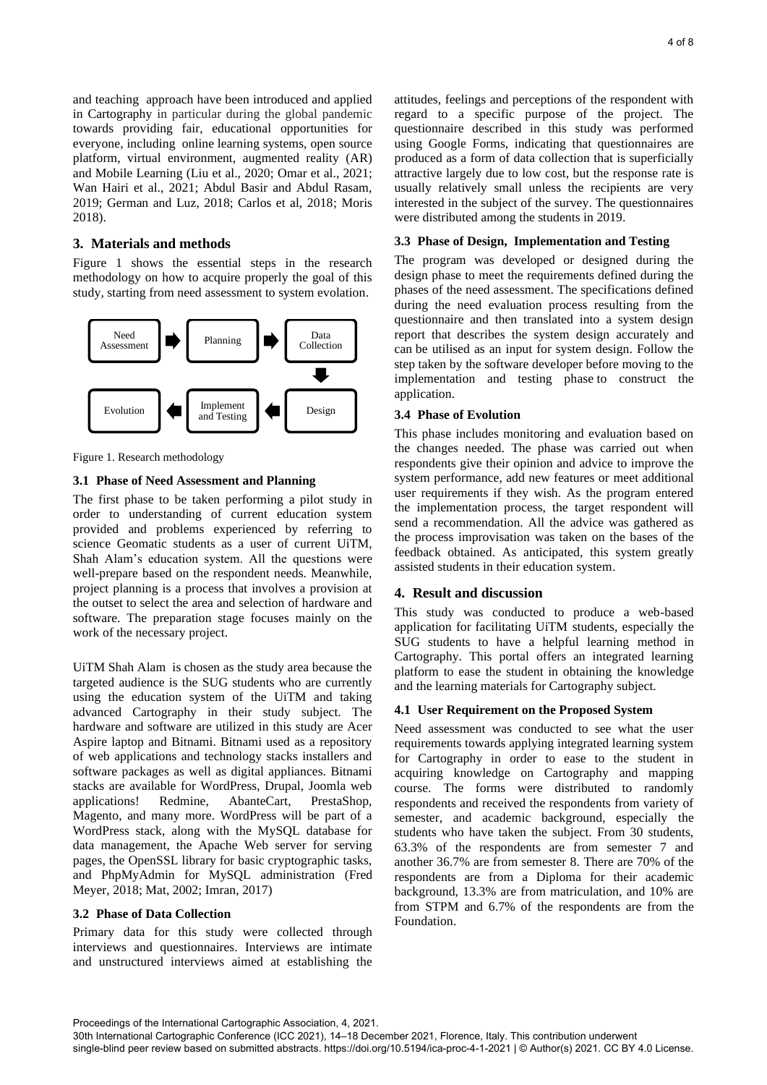and teaching approach have been introduced and applied in Cartography in particular during the global pandemic towards providing fair, educational opportunities for everyone, including online learning systems, open source platform, virtual environment, augmented reality (AR) and Mobile Learning (Liu et al., 2020; Omar et al., 2021; Wan Hairi et al., 2021; Abdul Basir and Abdul Rasam, 2019; German and Luz, 2018; Carlos et al, 2018; Moris 2018).

## **3. Materials and methods**

Figure 1 shows the essential steps in the research methodology on how to acquire properly the goal of this study, starting from need assessment to system evolation.



Figure 1. Research methodology

#### **3.1 Phase of Need Assessment and Planning**

The first phase to be taken performing a pilot study in order to understanding of current education system provided and problems experienced by referring to science Geomatic students as a user of current UiTM, Shah Alam's education system. All the questions were well-prepare based on the respondent needs. Meanwhile, project planning is a process that involves a provision at the outset to select the area and selection of hardware and software. The preparation stage focuses mainly on the work of the necessary project.

UiTM Shah Alam is chosen as the study area because the targeted audience is the SUG students who are currently using the education system of the UiTM and taking advanced Cartography in their study subject. The hardware and software are utilized in this study are Acer Aspire laptop and Bitnami. Bitnami used as a repository of web applications and technology stacks installers and software packages as well as digital appliances. Bitnami stacks are available for WordPress, Drupal, Joomla web applications! Redmine, AbanteCart, PrestaShop, Magento, and many more. WordPress will be part of a WordPress stack, along with the MySQL database for data management, the Apache Web server for serving pages, the OpenSSL library for basic cryptographic tasks, and PhpMyAdmin for MySQL administration (Fred Meyer, 2018; Mat, 2002; Imran, 2017)

## **3.2 Phase of Data Collection**

Primary data for this study were collected through interviews and questionnaires. Interviews are intimate and unstructured interviews aimed at establishing the attitudes, feelings and perceptions of the respondent with regard to a specific purpose of the project. The questionnaire described in this study was performed using Google Forms, indicating that questionnaires are produced as a form of data collection that is superficially attractive largely due to low cost, but the response rate is usually relatively small unless the recipients are very interested in the subject of the survey. The questionnaires were distributed among the students in 2019.

#### **3.3 Phase of Design, Implementation and Testing**

The program was developed or designed during the design phase to meet the requirements defined during the phases of the need assessment. The specifications defined during the need evaluation process resulting from the questionnaire and then translated into a system design report that describes the system design accurately and can be utilised as an input for system design. Follow the step taken by the software developer before moving to the implementation and testing phase to construct the application.

#### **3.4 Phase of Evolution**

This phase includes monitoring and evaluation based on the changes needed. The phase was carried out when respondents give their opinion and advice to improve the system performance, add new features or meet additional user requirements if they wish. As the program entered the implementation process, the target respondent will send a recommendation. All the advice was gathered as the process improvisation was taken on the bases of the feedback obtained. As anticipated, this system greatly assisted students in their education system.

#### **4. Result and discussion**

This study was conducted to produce a web-based application for facilitating UiTM students, especially the SUG students to have a helpful learning method in Cartography. This portal offers an integrated learning platform to ease the student in obtaining the knowledge and the learning materials for Cartography subject.

#### **4.1 User Requirement on the Proposed System**

Need assessment was conducted to see what the user requirements towards applying integrated learning system for Cartography in order to ease to the student in acquiring knowledge on Cartography and mapping course. The forms were distributed to randomly respondents and received the respondents from variety of semester, and academic background, especially the students who have taken the subject. From 30 students, 63.3% of the respondents are from semester 7 and another 36.7% are from semester 8. There are 70% of the respondents are from a Diploma for their academic background, 13.3% are from matriculation, and 10% are from STPM and 6.7% of the respondents are from the Foundation.

Proceedings of the International Cartographic Association, 4, 2021.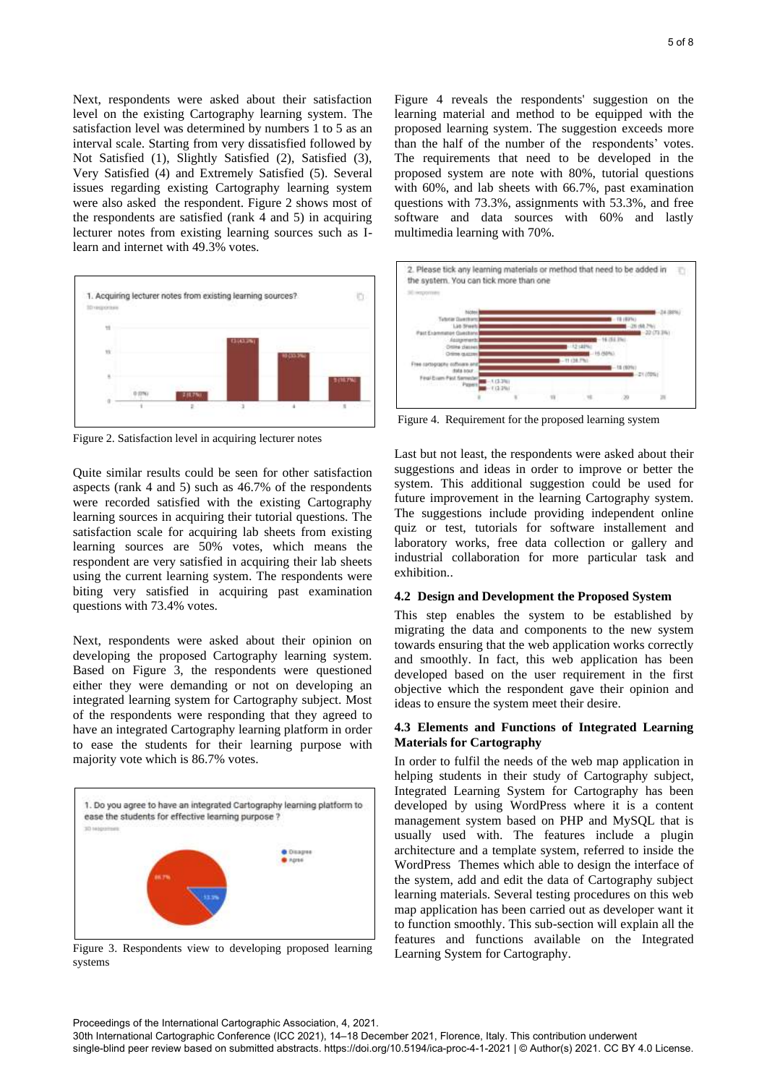Next, respondents were asked about their satisfaction level on the existing Cartography learning system. The satisfaction level was determined by numbers 1 to 5 as an interval scale. Starting from very dissatisfied followed by Not Satisfied (1), Slightly Satisfied (2), Satisfied (3), Very Satisfied (4) and Extremely Satisfied (5). Several issues regarding existing Cartography learning system were also asked the respondent. Figure 2 shows most of the respondents are satisfied (rank 4 and 5) in acquiring lecturer notes from existing learning sources such as Ilearn and internet with 49.3% votes.



Figure 2. Satisfaction level in acquiring lecturer notes

Quite similar results could be seen for other satisfaction aspects (rank 4 and 5) such as 46.7% of the respondents were recorded satisfied with the existing Cartography learning sources in acquiring their tutorial questions. The satisfaction scale for acquiring lab sheets from existing learning sources are 50% votes, which means the respondent are very satisfied in acquiring their lab sheets using the current learning system. The respondents were biting very satisfied in acquiring past examination questions with 73.4% votes.

Next, respondents were asked about their opinion on developing the proposed Cartography learning system. Based on Figure 3, the respondents were questioned either they were demanding or not on developing an integrated learning system for Cartography subject. Most of the respondents were responding that they agreed to have an integrated Cartography learning platform in order to ease the students for their learning purpose with majority vote which is 86.7% votes.



Figure 3. Respondents view to developing proposed learning systems

Figure 4 reveals the respondents' suggestion on the learning material and method to be equipped with the proposed learning system. The suggestion exceeds more than the half of the number of the respondents' votes. The requirements that need to be developed in the proposed system are note with 80%, tutorial questions with 60%, and lab sheets with 66.7%, past examination questions with 73.3%, assignments with 53.3%, and free software and data sources with 60% and lastly multimedia learning with 70%.



Figure 4. Requirement for the proposed learning system

Last but not least, the respondents were asked about their suggestions and ideas in order to improve or better the system. This additional suggestion could be used for future improvement in the learning Cartography system. The suggestions include providing independent online quiz or test, tutorials for software installement and laboratory works, free data collection or gallery and industrial collaboration for more particular task and exhibition..

#### **4.2 Design and Development the Proposed System**

This step enables the system to be established by migrating the data and components to the new system towards ensuring that the web application works correctly and smoothly. In fact, this web application has been developed based on the user requirement in the first objective which the respondent gave their opinion and ideas to ensure the system meet their desire.

# **4.3 Elements and Functions of Integrated Learning Materials for Cartography**

In order to fulfil the needs of the web map application in helping students in their study of Cartography subject, Integrated Learning System for Cartography has been developed by using WordPress where it is a content management system based on PHP and MySQL that is usually used with. The features include a plugin architecture and a template system, referred to inside the WordPress Themes which able to design the interface of the system, add and edit the data of Cartography subject learning materials. Several testing procedures on this web map application has been carried out as developer want it to function smoothly. This sub-section will explain all the features and functions available on the Integrated Learning System for Cartography.

Proceedings of the International Cartographic Association, 4, 2021.

30th International Cartographic Conference (ICC 2021), 14–18 December 2021, Florence, Italy. This contribution underwent single-blind peer review based on submitted abstracts. https://doi.org/10.5194/ica-proc-4-1-2021 | © Author(s) 2021. CC BY 4.0 License.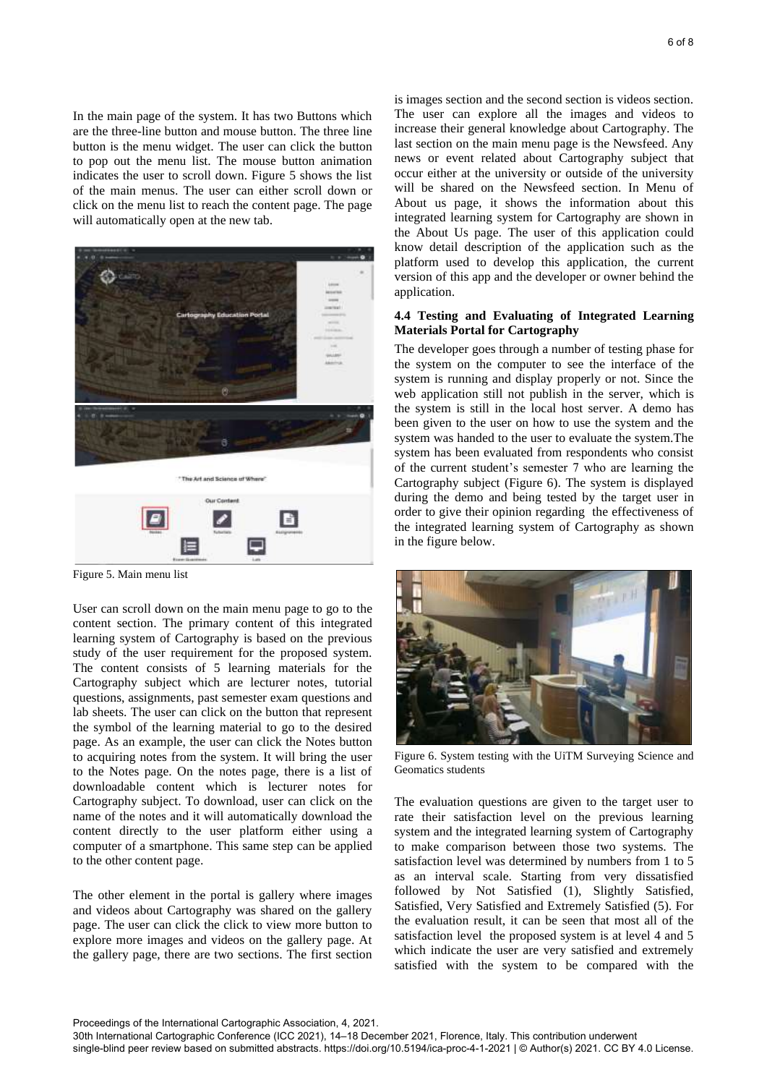In the main page of the system. It has two Buttons which are the three-line button and mouse button. The three line button is the menu widget. The user can click the button to pop out the menu list. The mouse button animation indicates the user to scroll down. Figure 5 shows the list of the main menus. The user can either scroll down or click on the menu list to reach the content page. The page will automatically open at the new tab.



Figure 5. Main menu list

User can scroll down on the main menu page to go to the content section. The primary content of this integrated learning system of Cartography is based on the previous study of the user requirement for the proposed system. The content consists of 5 learning materials for the Cartography subject which are lecturer notes, tutorial questions, assignments, past semester exam questions and lab sheets. The user can click on the button that represent the symbol of the learning material to go to the desired page. As an example, the user can click the Notes button to acquiring notes from the system. It will bring the user to the Notes page. On the notes page, there is a list of downloadable content which is lecturer notes for Cartography subject. To download, user can click on the name of the notes and it will automatically download the content directly to the user platform either using a computer of a smartphone. This same step can be applied to the other content page.

The other element in the portal is gallery where images and videos about Cartography was shared on the gallery page. The user can click the click to view more button to explore more images and videos on the gallery page. At the gallery page, there are two sections. The first section is images section and the second section is videos section. The user can explore all the images and videos to increase their general knowledge about Cartography. The last section on the main menu page is the Newsfeed. Any news or event related about Cartography subject that occur either at the university or outside of the university will be shared on the Newsfeed section. In Menu of About us page, it shows the information about this integrated learning system for Cartography are shown in the About Us page. The user of this application could know detail description of the application such as the platform used to develop this application, the current version of this app and the developer or owner behind the application.

## **4.4 Testing and Evaluating of Integrated Learning Materials Portal for Cartography**

The developer goes through a number of testing phase for the system on the computer to see the interface of the system is running and display properly or not. Since the web application still not publish in the server, which is the system is still in the local host server. A demo has been given to the user on how to use the system and the system was handed to the user to evaluate the system.The system has been evaluated from respondents who consist of the current student's semester 7 who are learning the Cartography subject (Figure 6). The system is displayed during the demo and being tested by the target user in order to give their opinion regarding the effectiveness of the integrated learning system of Cartography as shown in the figure below.



Figure 6. System testing with the UiTM Surveying Science and Geomatics students

The evaluation questions are given to the target user to rate their satisfaction level on the previous learning system and the integrated learning system of Cartography to make comparison between those two systems. The satisfaction level was determined by numbers from 1 to 5 as an interval scale. Starting from very dissatisfied followed by Not Satisfied (1), Slightly Satisfied, Satisfied, Very Satisfied and Extremely Satisfied (5). For the evaluation result, it can be seen that most all of the satisfaction level the proposed system is at level 4 and 5 which indicate the user are very satisfied and extremely satisfied with the system to be compared with the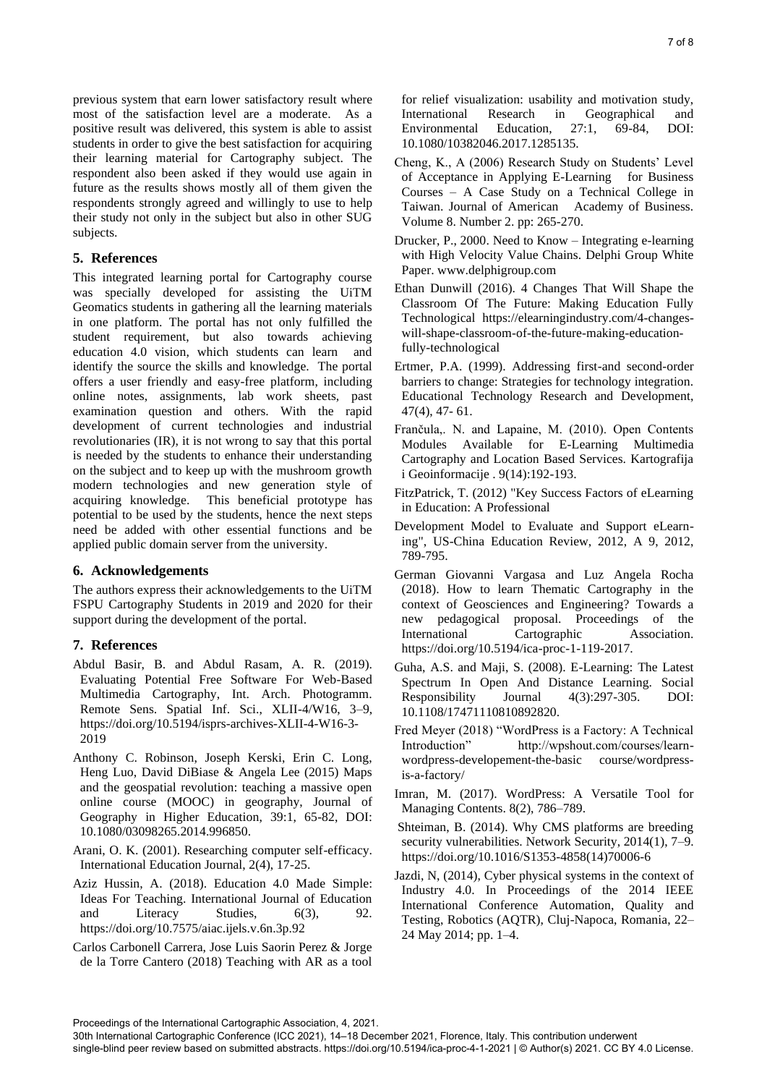previous system that earn lower satisfactory result where most of the satisfaction level are a moderate. As a positive result was delivered, this system is able to assist students in order to give the best satisfaction for acquiring their learning material for Cartography subject. The respondent also been asked if they would use again in future as the results shows mostly all of them given the respondents strongly agreed and willingly to use to help their study not only in the subject but also in other SUG subjects.

# **5. References**

This integrated learning portal for Cartography course was specially developed for assisting the UiTM Geomatics students in gathering all the learning materials in one platform. The portal has not only fulfilled the student requirement, but also towards achieving education 4.0 vision, which students can learn and identify the source the skills and knowledge. The portal offers a user friendly and easy-free platform, including online notes, assignments, lab work sheets, past examination question and others. With the rapid development of current technologies and industrial revolutionaries (IR), it is not wrong to say that this portal is needed by the students to enhance their understanding on the subject and to keep up with the mushroom growth modern technologies and new generation style of acquiring knowledge. This beneficial prototype has This beneficial prototype has potential to be used by the students, hence the next steps need be added with other essential functions and be applied public domain server from the university.

## **6. Acknowledgements**

The authors express their acknowledgements to the UiTM FSPU Cartography Students in 2019 and 2020 for their support during the development of the portal.

# **7. References**

- Abdul Basir, B. and Abdul Rasam, A. R. (2019). Evaluating Potential Free Software For Web-Based Multimedia Cartography, Int. Arch. Photogramm. Remote Sens. Spatial Inf. Sci., XLII-4/W16, 3–9, https://doi.org/10.5194/isprs-archives-XLII-4-W16-3- 2019
- Anthony C. Robinson, Joseph Kerski, Erin C. Long, Heng Luo, David DiBiase & Angela Lee (2015) Maps and the geospatial revolution: teaching a massive open online course (MOOC) in geography, Journal of Geography in Higher Education, 39:1, 65-82, DOI: 10.1080/03098265.2014.996850.
- Arani, O. K. (2001). Researching computer self-efficacy. International Education Journal, 2(4), 17-25.
- Aziz Hussin, A. (2018). Education 4.0 Made Simple: Ideas For Teaching. International Journal of Education and Literacy Studies, 6(3), 92. https://doi.org/10.7575/aiac.ijels.v.6n.3p.92
- Carlos Carbonell Carrera, Jose Luis Saorin Perez & Jorge de la Torre Cantero (2018) Teaching with AR as a tool

for relief visualization: usability and motivation study, International Research in Geographical and Environmental Education, 27:1, 69-84, DOI: 10.1080/10382046.2017.1285135.

- Cheng, K., A (2006) Research Study on Students' Level of Acceptance in Applying E-Learning for Business Courses – A Case Study on a Technical College in Taiwan. Journal of American Academy of Business. Volume 8. Number 2. pp: 265-270.
- Drucker, P., 2000. Need to Know Integrating e-learning with High Velocity Value Chains. Delphi Group White Paper. www.delphigroup.com
- Ethan Dunwill (2016). 4 Changes That Will Shape the Classroom Of The Future: Making Education Fully Technological https://elearningindustry.com/4-changeswill-shape-classroom-of-the-future-making-educationfully-technological
- Ertmer, P.A. (1999). Addressing first-and second-order barriers to change: Strategies for technology integration. Educational Technology Research and Development, 47(4), 47- 61.
- Frančula,. N. and Lapaine, M. (2010). Open Contents Modules Available for E-Learning Multimedia Cartography and Location Based Services. Kartografija i Geoinformacije . 9(14):192-193.
- FitzPatrick, T. (2012) "Key Success Factors of eLearning in Education: A Professional
- Development Model to Evaluate and Support eLearning", US-China Education Review, 2012, A 9, 2012, 789-795.
- German Giovanni Vargasa and Luz Angela Rocha (2018). How to learn Thematic Cartography in the context of Geosciences and Engineering? Towards a new pedagogical proposal. Proceedings of the International Cartographic Association. https://doi.org/10.5194/ica-proc-1-119-2017.
- Guha, A.S. and Maji, S. (2008). E-Learning: The Latest Spectrum In Open And Distance Learning. Social Responsibility Journal 4(3):297-305. DOI: 10.1108/17471110810892820.
- Fred Meyer (2018) "WordPress is a Factory: A Technical Introduction" http://wpshout.com/courses/learnwordpress-developement-the-basic course/wordpressis-a-factory/
- Imran, M. (2017). WordPress: A Versatile Tool for Managing Contents. 8(2), 786–789.
- Shteiman, B. (2014). Why CMS platforms are breeding security vulnerabilities. Network Security, 2014(1), 7–9. https://doi.org/10.1016/S1353-4858(14)70006-6
- Jazdi, N, (2014), Cyber physical systems in the context of Industry 4.0. In Proceedings of the 2014 IEEE International Conference Automation, Quality and Testing, Robotics (AQTR), Cluj-Napoca, Romania, 22– 24 May 2014; pp. 1–4.

Proceedings of the International Cartographic Association, 4, 2021.

<sup>30</sup>th International Cartographic Conference (ICC 2021), 14–18 December 2021, Florence, Italy. This contribution underwent single-blind peer review based on submitted abstracts. https://doi.org/10.5194/ica-proc-4-1-2021 | © Author(s) 2021. CC BY 4.0 License.